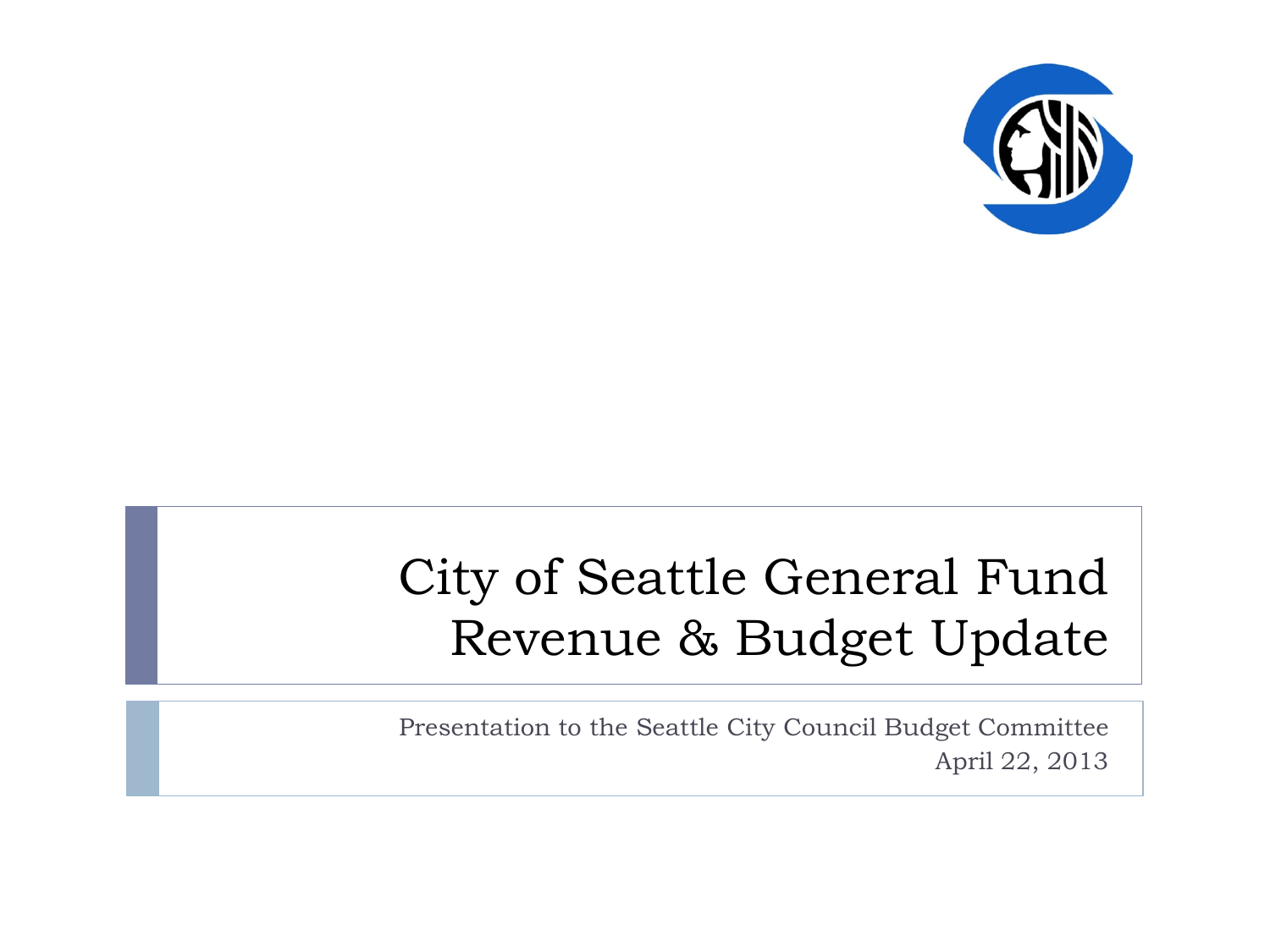

#### City of Seattle General Fund Revenue & Budget Update

Presentation to the Seattle City Council Budget Committee April 22, 2013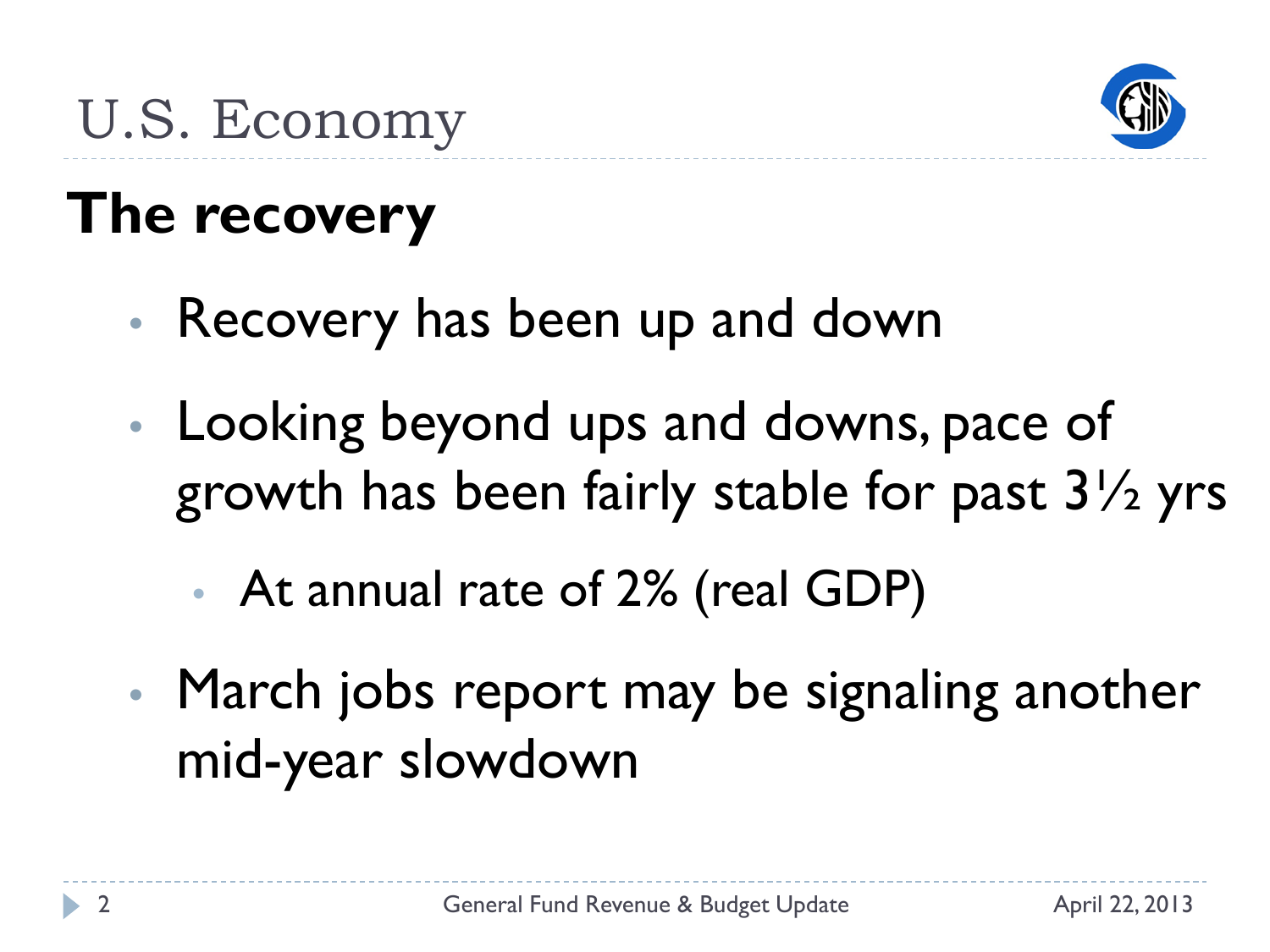

## U.S. Economy

# **The recovery**

- Recovery has been up and down
- Looking beyond ups and downs, pace of growth has been fairly stable for past 3½ yrs
	- At annual rate of 2% (real GDP)
- March jobs report may be signaling another mid-year slowdown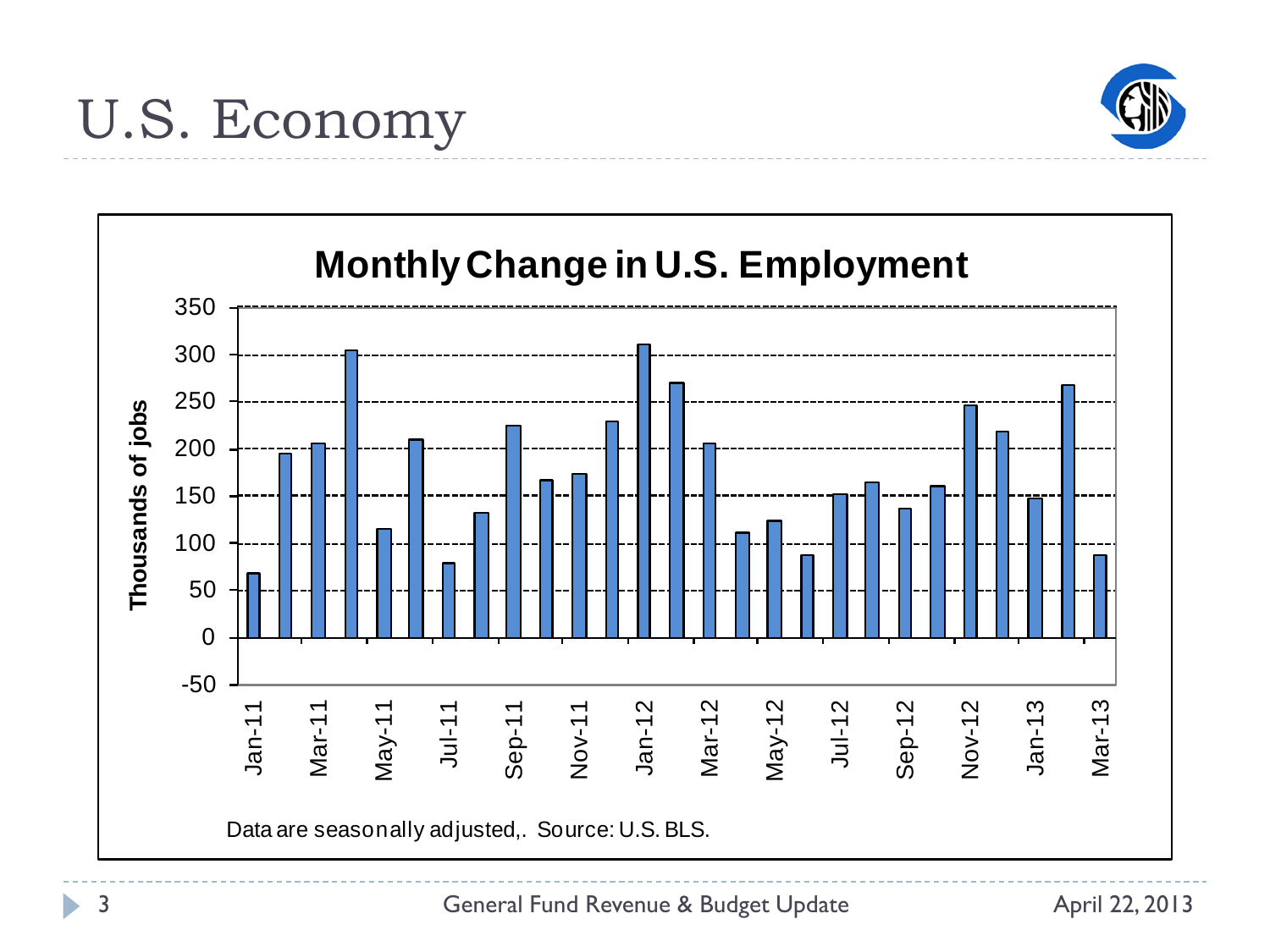

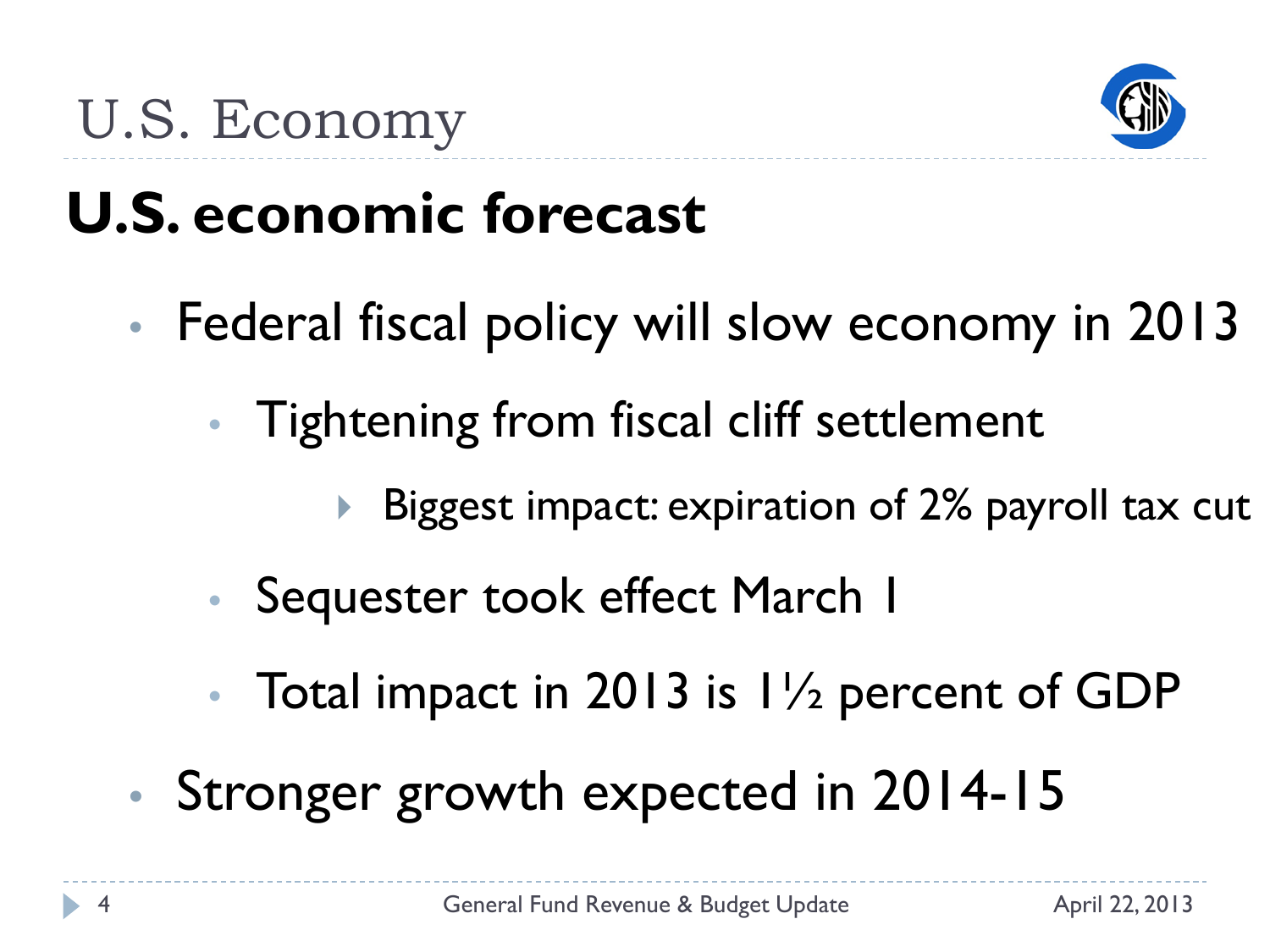

#### U.S. Economy

# **U.S. economic forecast**

- Federal fiscal policy will slow economy in 2013
	- Tightening from fiscal cliff settlement
		- Biggest impact: expiration of 2% payroll tax cut
	- Sequester took effect March 1
	- Total impact in 2013 is  $1\frac{1}{2}$  percent of GDP
- Stronger growth expected in 2014-15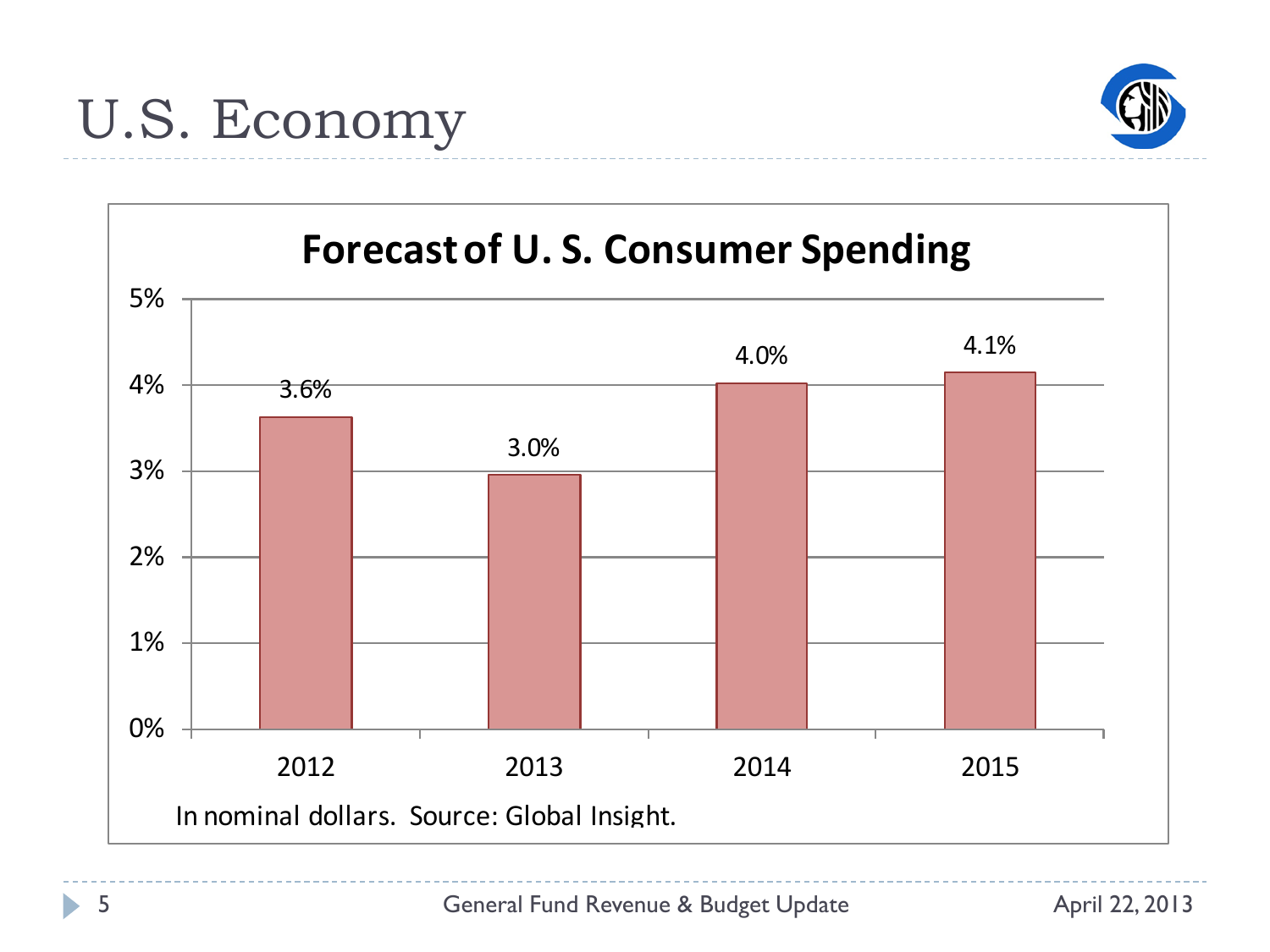



ь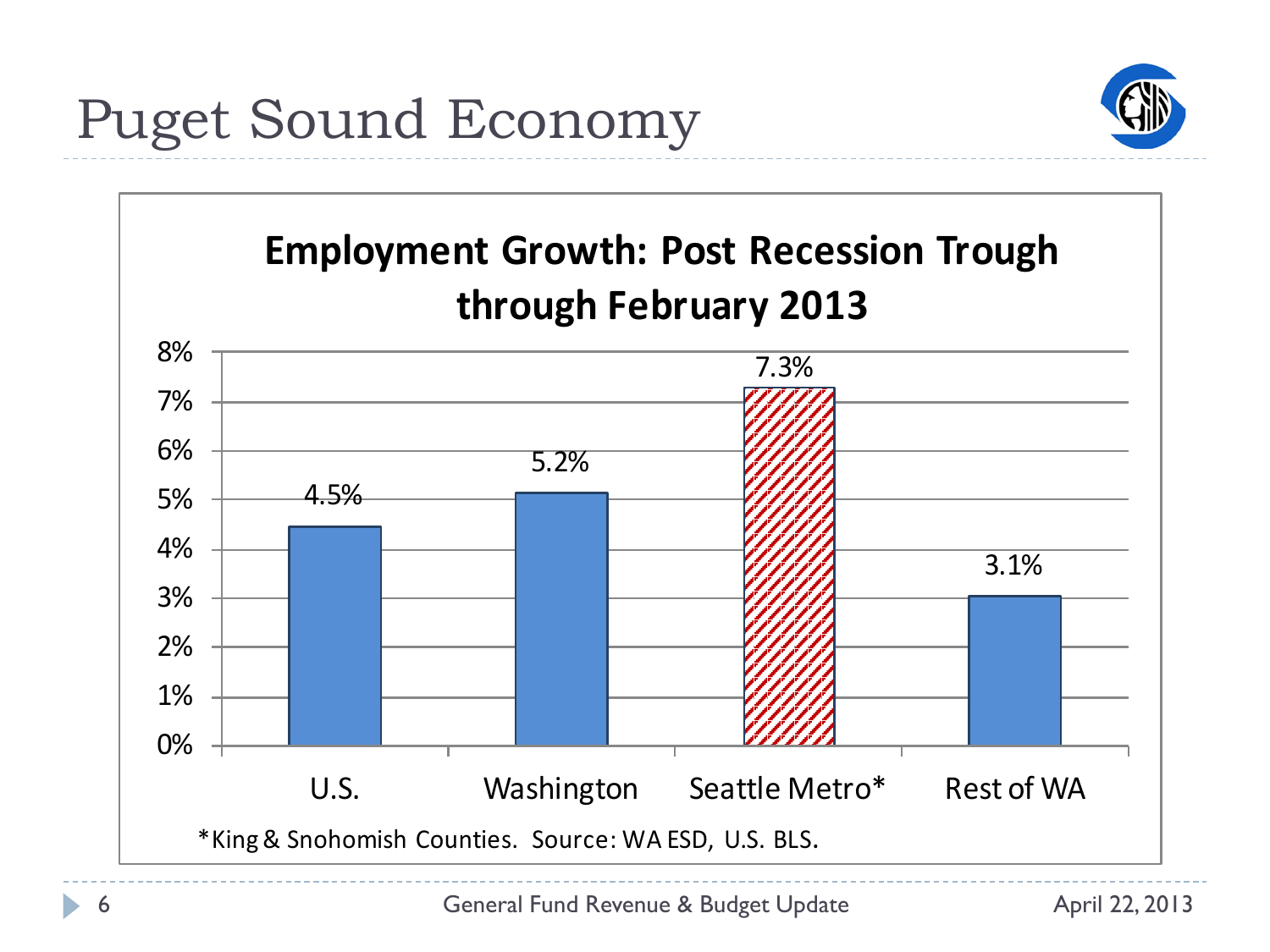

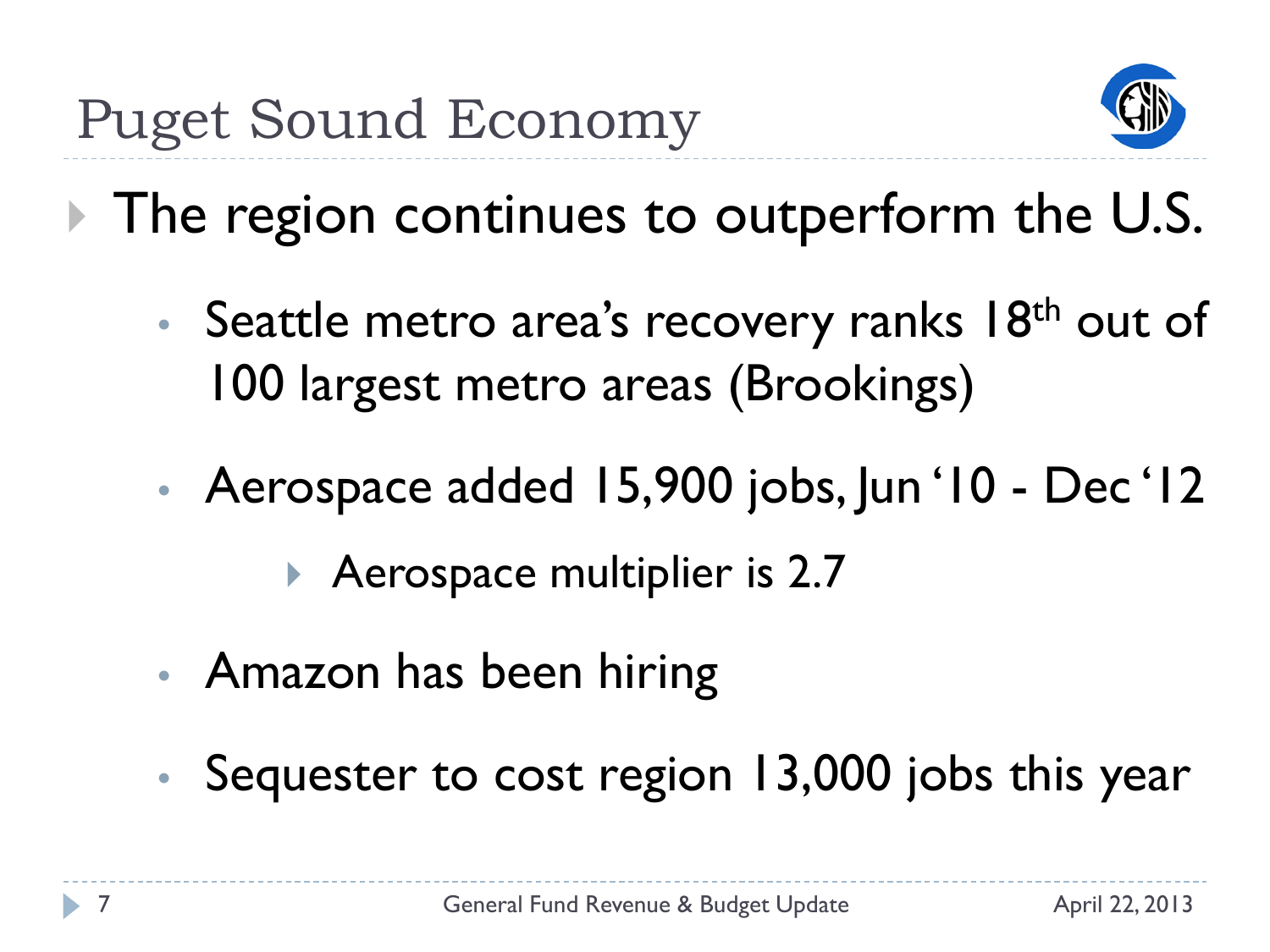

**The region continues to outperform the U.S.** 

- Seattle metro area's recovery ranks 18<sup>th</sup> out of 100 largest metro areas (Brookings)
- Aerospace added 15,900 jobs, Jun '10 Dec '12

Aerospace multiplier is 2.7

- Amazon has been hiring
- Sequester to cost region 13,000 jobs this year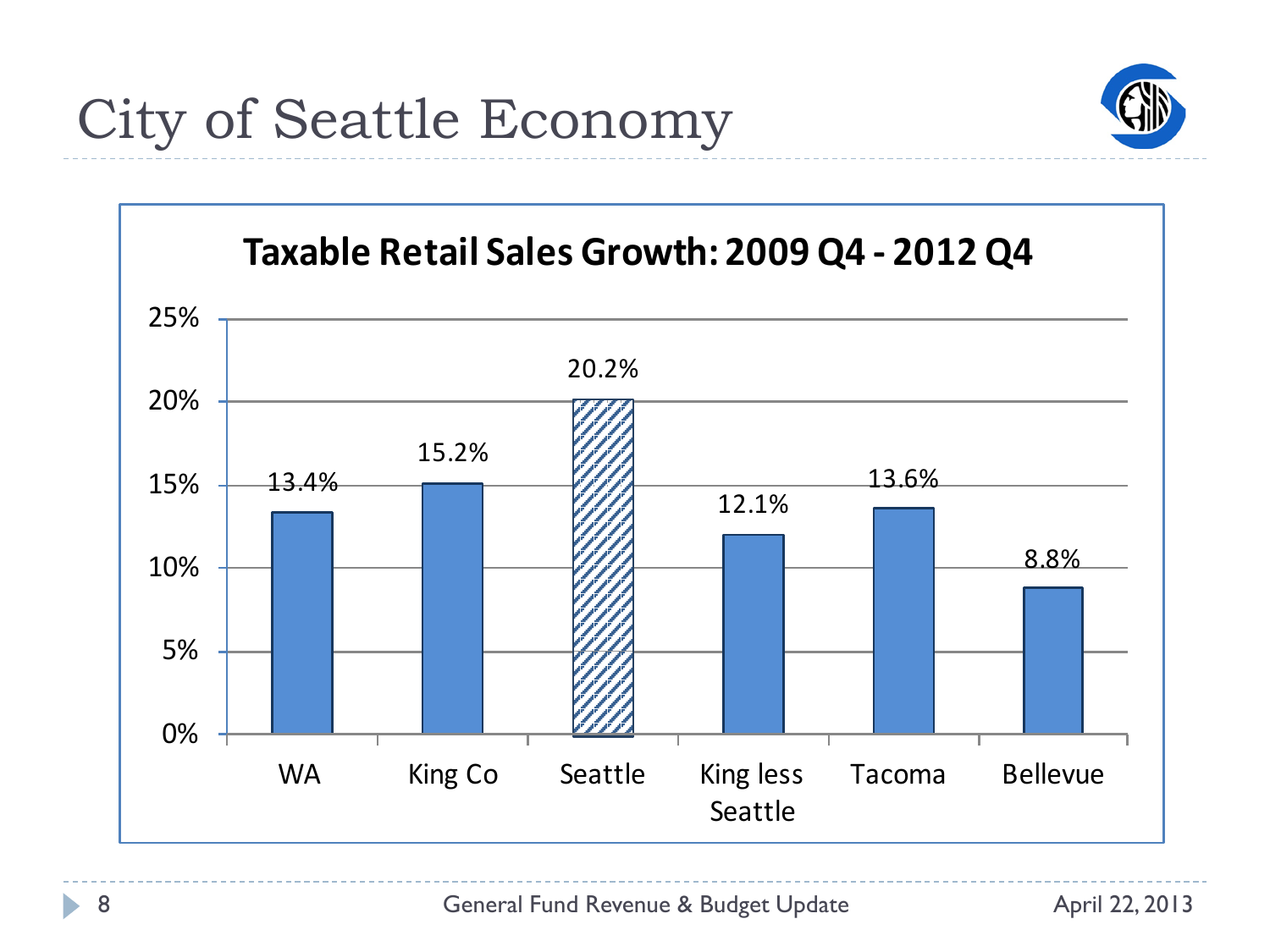

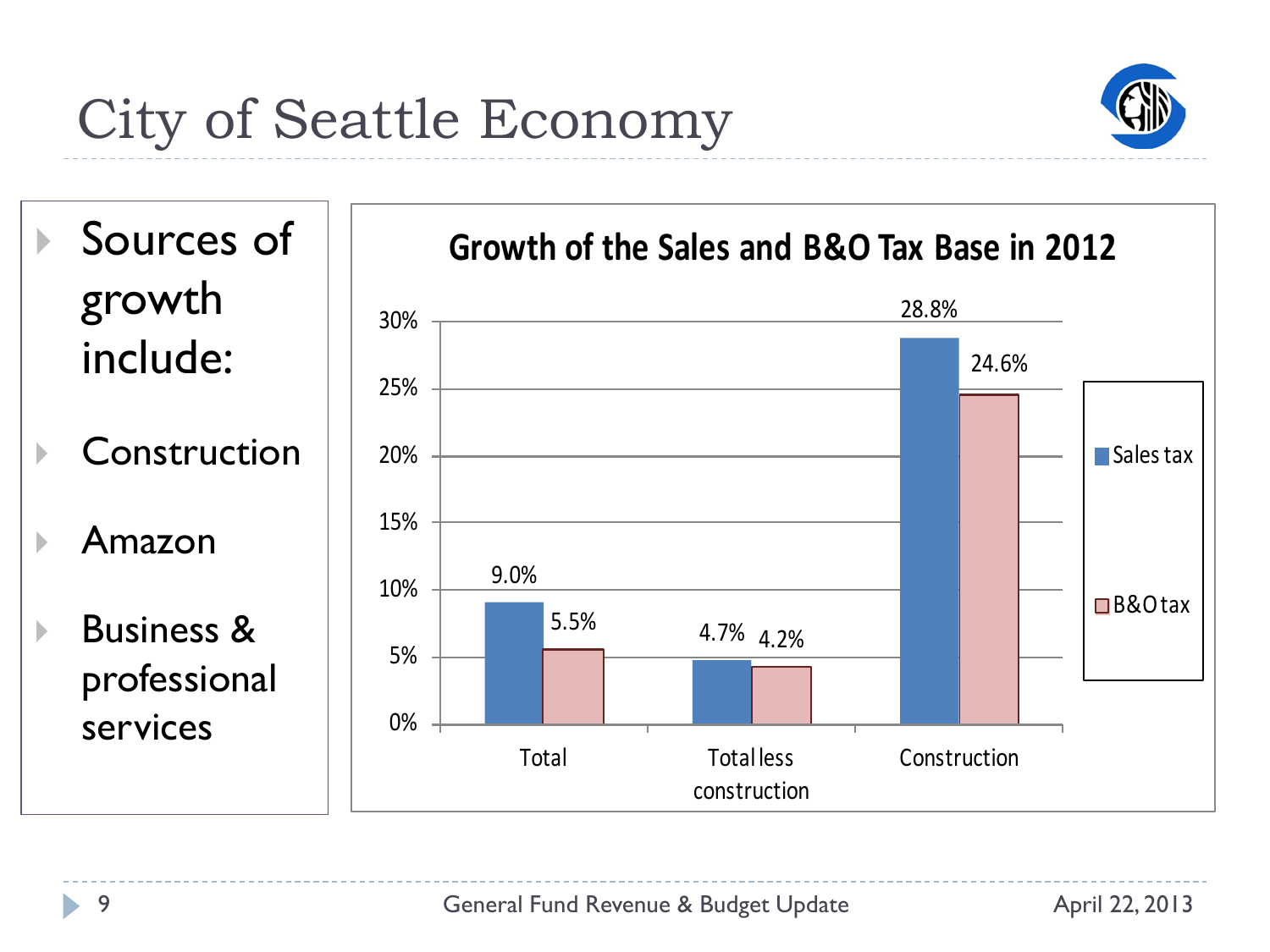## City of Seattle Economy



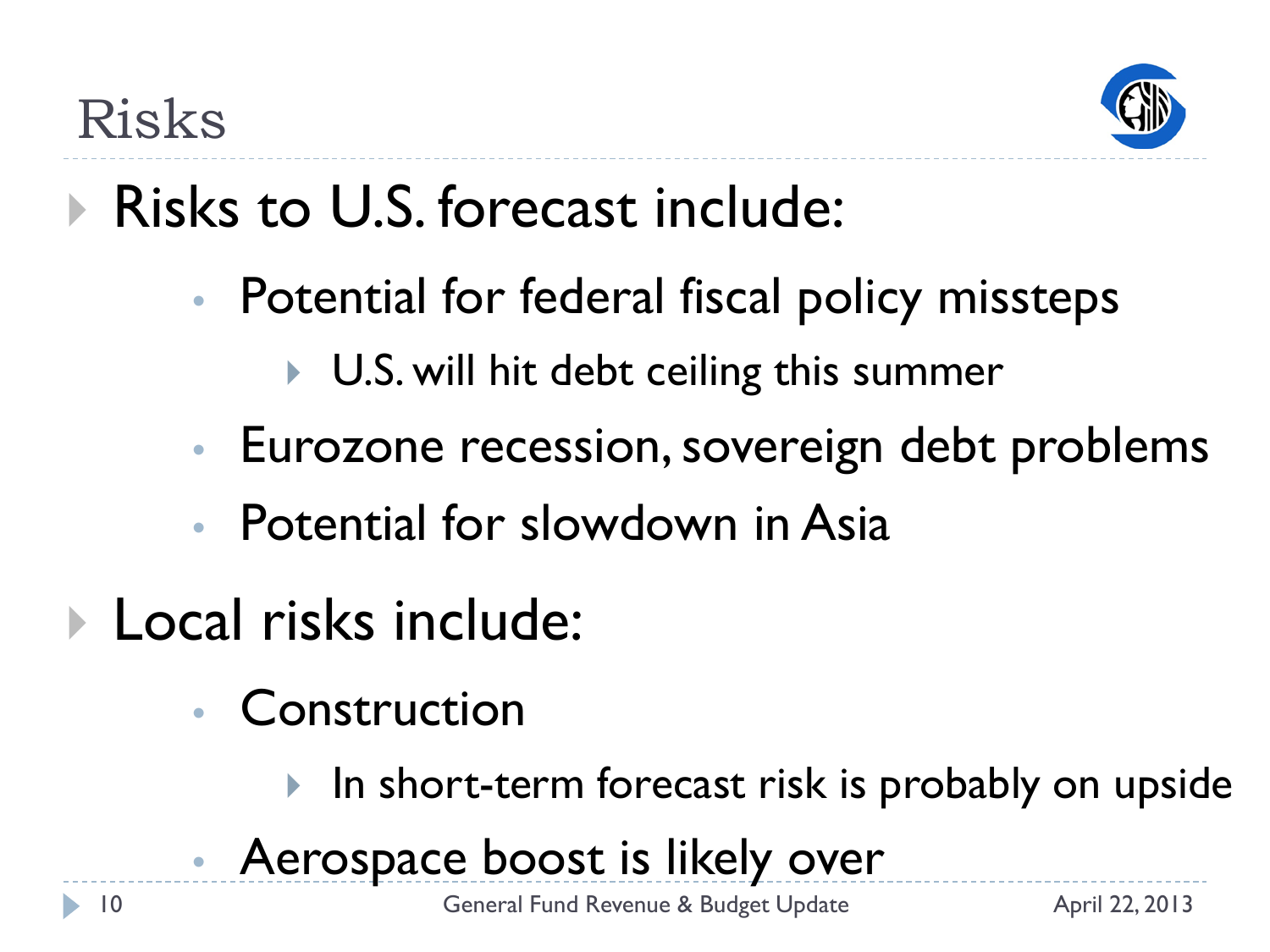

# Risks to U.S. forecast include:

- Potential for federal fiscal policy missteps
	- ▶ U.S. will hit debt ceiling this summer
- Eurozone recession, sovereign debt problems
- Potential for slowdown in Asia
- **Local risks include:** 
	- Construction
		- In short-term forecast risk is probably on upside
	- Aerospace boost is likely over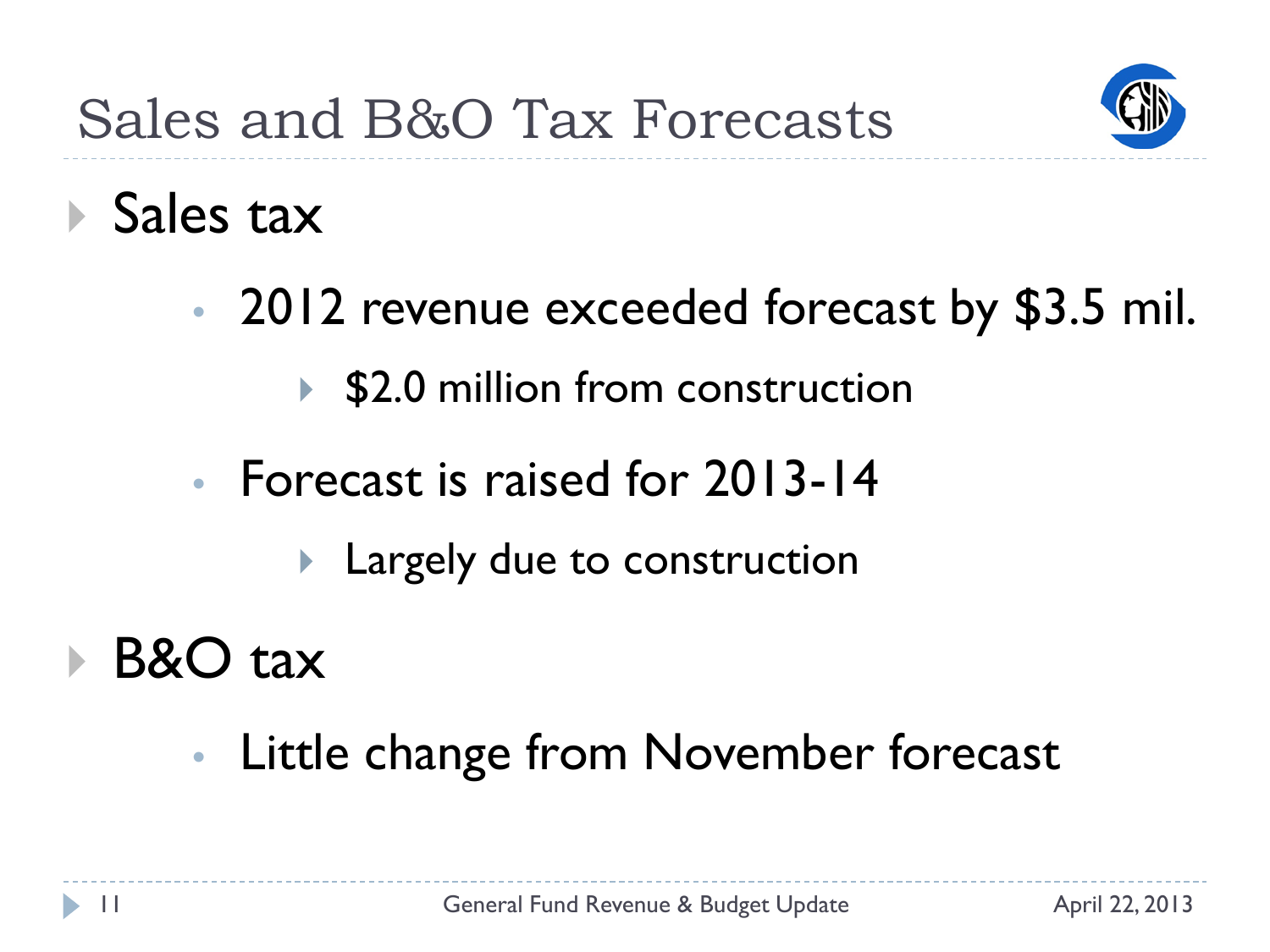

#### Sales tax

- 2012 revenue exceeded forecast by \$3.5 mil.
	- ▶ \$2.0 million from construction
- Forecast is raised for 2013-14
	- **Largely due to construction**
- B&O tax
	- Little change from November forecast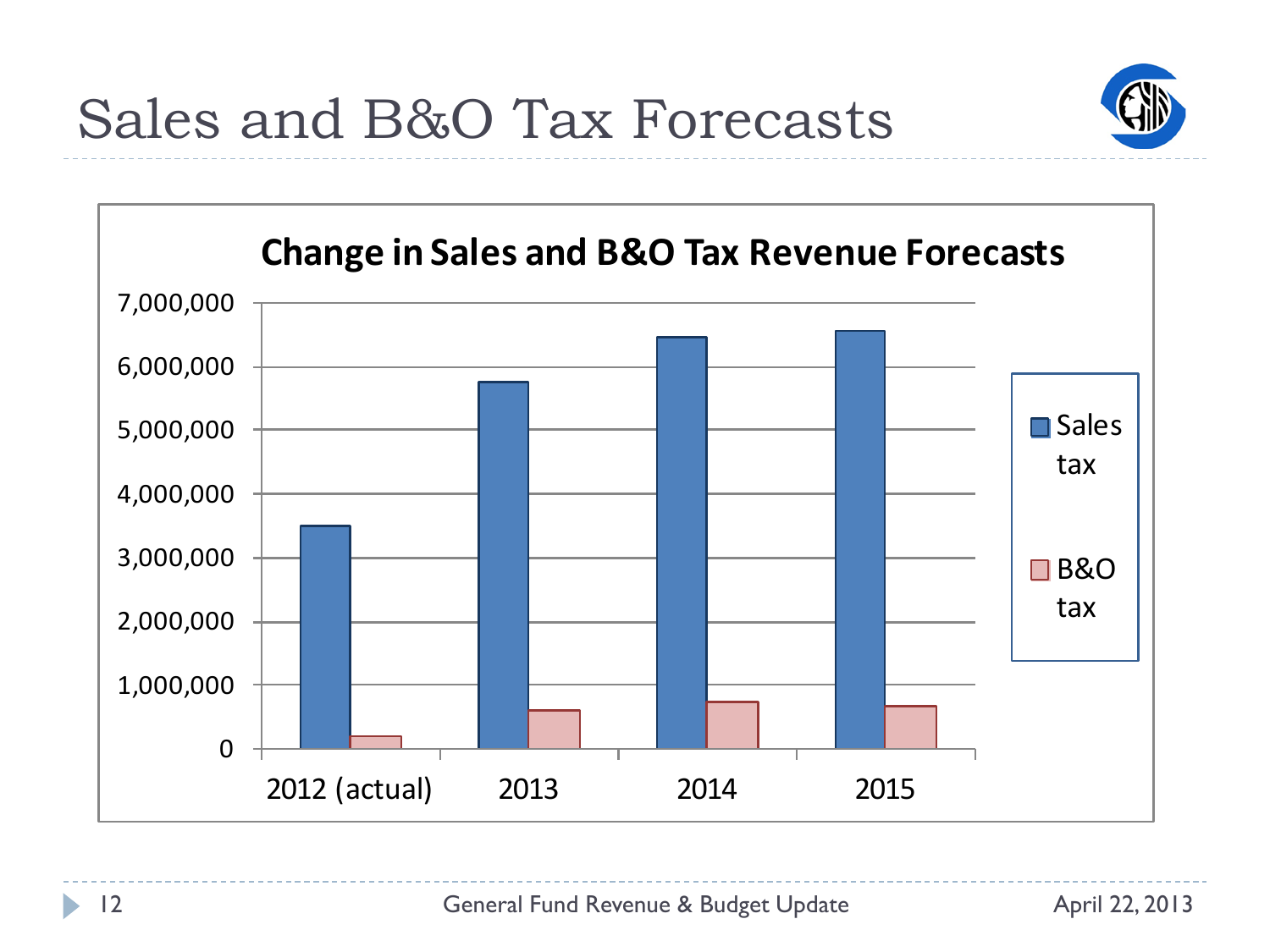

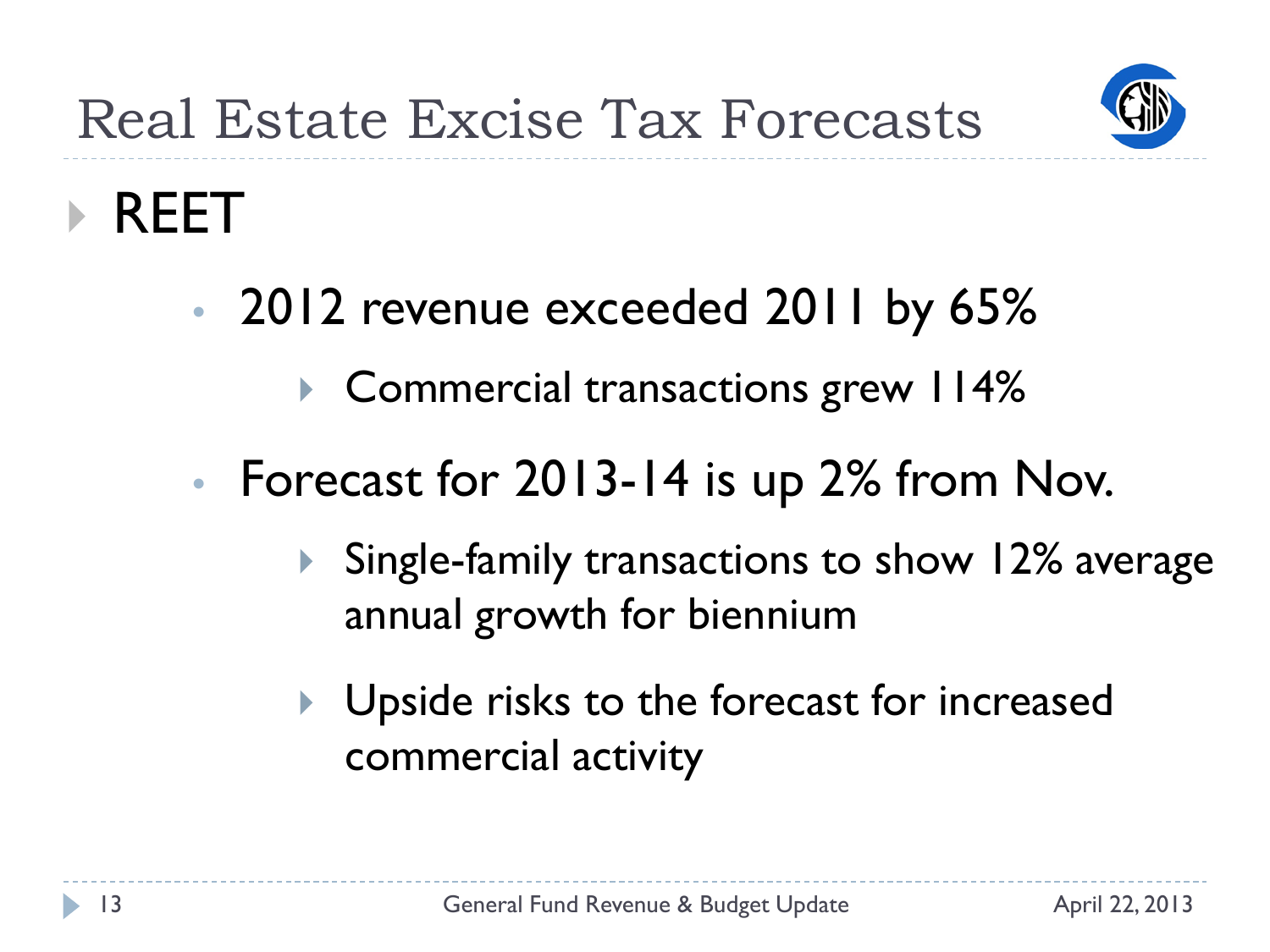

#### REET

- 2012 revenue exceeded 2011 by 65%
	- ▶ Commercial transactions grew 114%
- Forecast for 2013-14 is up 2% from Nov.
	- ▶ Single-family transactions to show 12% average annual growth for biennium
	- **I** Upside risks to the forecast for increased commercial activity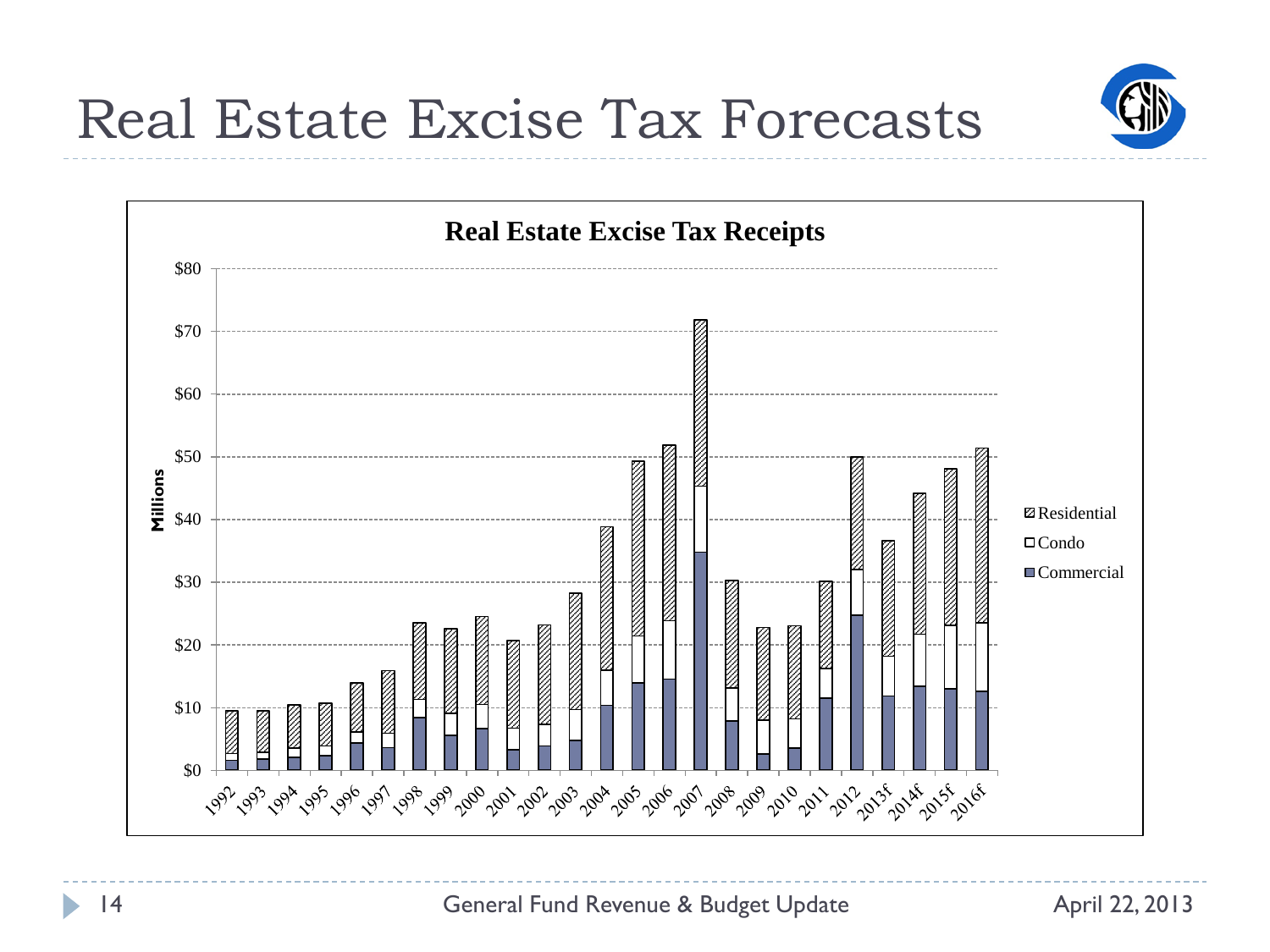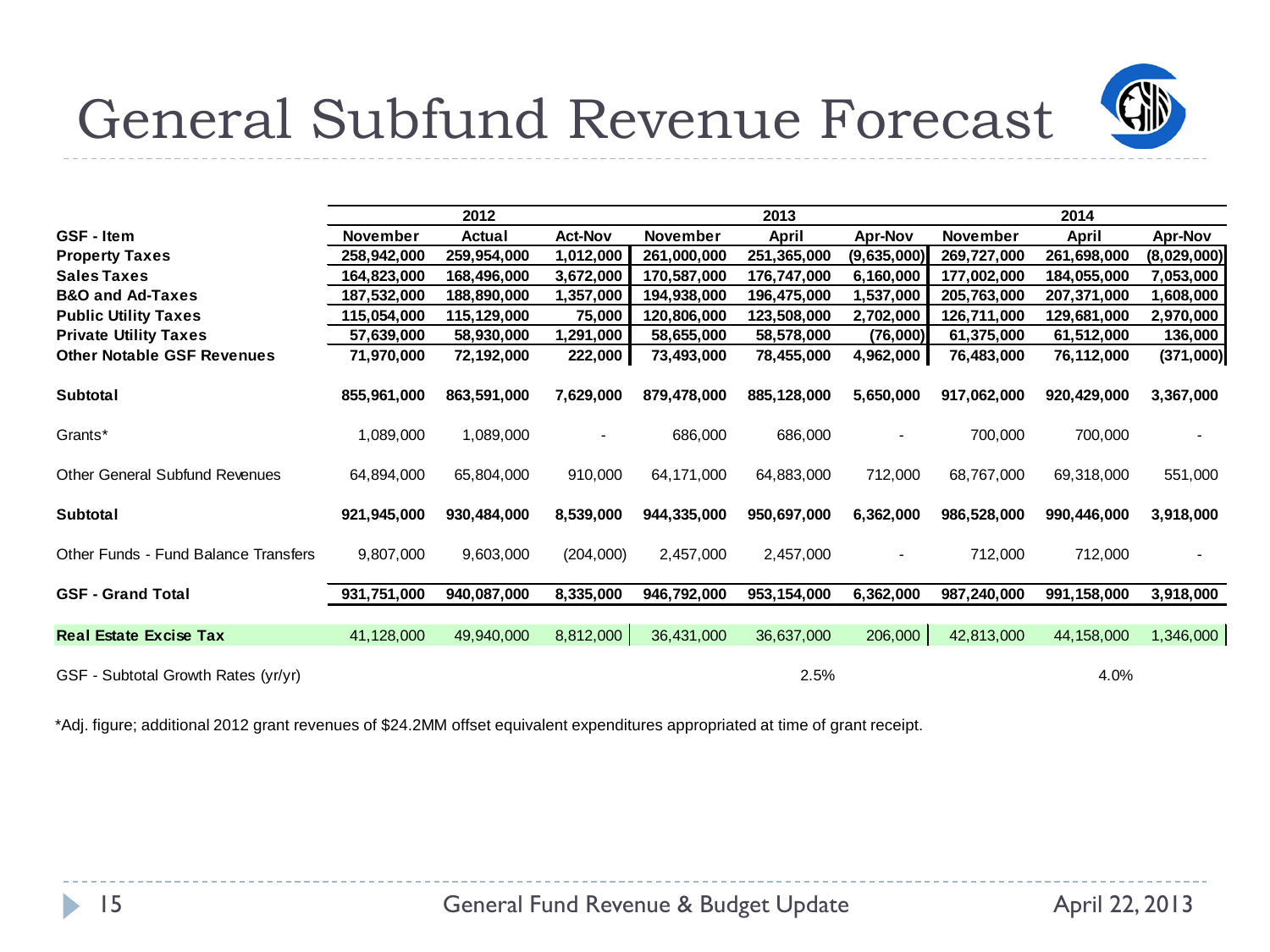

#### General Subfund Revenue Forecast

|                                             |                 | 2012        |                |             | 2013         |                          |             |             |                |
|---------------------------------------------|-----------------|-------------|----------------|-------------|--------------|--------------------------|-------------|-------------|----------------|
| <b>GSF</b> - Item                           | <b>November</b> | Actual      | <b>Act-Nov</b> | November    | <b>April</b> | <b>Apr-Nov</b>           | November    | April       | <b>Apr-Nov</b> |
| <b>Property Taxes</b>                       | 258,942,000     | 259,954,000 | 1,012,000      | 261,000,000 | 251,365,000  | (9,635,000)              | 269,727,000 | 261,698,000 | (8,029,000)    |
| <b>Sales Taxes</b>                          | 164,823,000     | 168,496,000 | 3,672,000      | 170,587,000 | 176,747,000  | 6,160,000                | 177,002,000 | 184,055,000 | 7,053,000      |
| <b>B&amp;O and Ad-Taxes</b>                 | 187,532,000     | 188,890,000 | 1,357,000      | 194,938,000 | 196,475,000  | 1,537,000                | 205,763,000 | 207,371,000 | 1,608,000      |
| <b>Public Utility Taxes</b>                 | 115,054,000     | 115,129,000 | 75,000         | 120,806,000 | 123,508,000  | 2,702,000                | 126,711,000 | 129,681,000 | 2,970,000      |
| <b>Private Utility Taxes</b>                | 57,639,000      | 58,930,000  | 1,291,000      | 58,655,000  | 58,578,000   | (76,000)                 | 61,375,000  | 61,512,000  | 136,000        |
| <b>Other Notable GSF Revenues</b>           | 71,970,000      | 72,192,000  | 222,000        | 73,493,000  | 78,455,000   | 4,962,000                | 76,483,000  | 76,112,000  | (371,000)      |
| <b>Subtotal</b>                             | 855,961,000     | 863,591,000 | 7,629,000      | 879,478,000 | 885,128,000  | 5,650,000                | 917,062,000 | 920,429,000 | 3,367,000      |
| Grants*                                     | 1,089,000       | 1,089,000   |                | 686,000     | 686,000      | ٠                        | 700,000     | 700,000     |                |
| <b>Other General Subfund Revenues</b>       | 64,894,000      | 65,804,000  | 910,000        | 64,171,000  | 64,883,000   | 712,000                  | 68,767,000  | 69,318,000  | 551,000        |
| Subtotal                                    | 921,945,000     | 930,484,000 | 8,539,000      | 944,335,000 | 950,697,000  | 6,362,000                | 986,528,000 | 990,446,000 | 3,918,000      |
| <b>Other Funds - Fund Balance Transfers</b> | 9,807,000       | 9,603,000   | (204,000)      | 2,457,000   | 2,457,000    | $\overline{\phantom{a}}$ | 712,000     | 712,000     |                |
| <b>GSF - Grand Total</b>                    | 931,751,000     | 940,087,000 | 8,335,000      | 946,792,000 | 953,154,000  | 6,362,000                | 987,240,000 | 991,158,000 | 3,918,000      |
|                                             |                 |             |                |             |              |                          |             |             |                |
| <b>Real Estate Excise Tax</b>               | 41,128,000      | 49,940,000  | 8,812,000      | 36,431,000  | 36,637,000   | 206,000                  | 42,813,000  | 44,158,000  | 1,346,000      |
| GSF - Subtotal Growth Rates (yr/yr)         |                 |             |                |             | 2.5%         |                          |             | 4.0%        |                |

\*Adj. figure; additional 2012 grant revenues of \$24.2MM offset equivalent expenditures appropriated at time of grant receipt.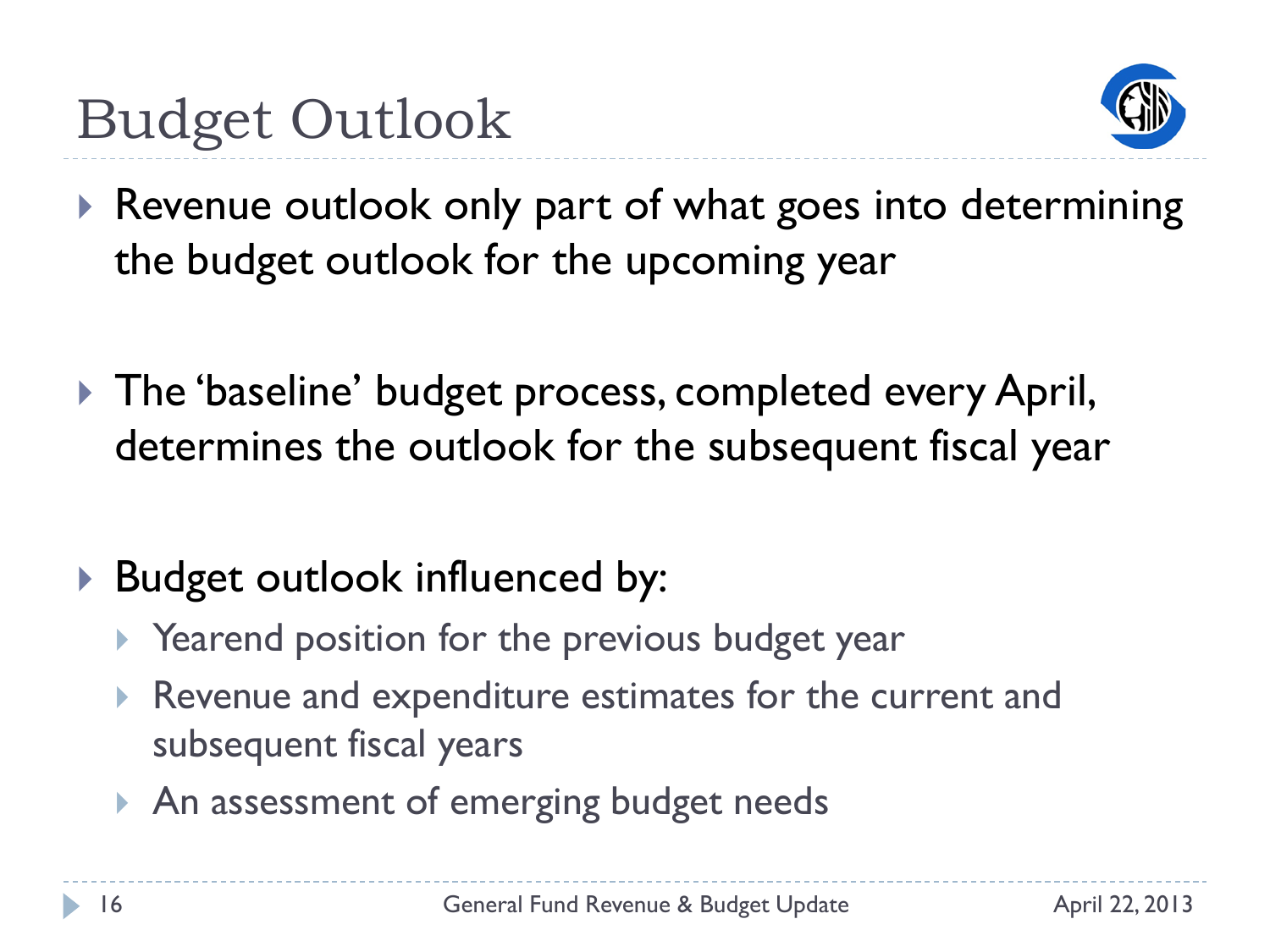

- ▶ Revenue outlook only part of what goes into determining the budget outlook for the upcoming year
- ▶ The 'baseline' budget process, completed every April, determines the outlook for the subsequent fiscal year
- ▶ Budget outlook influenced by:
	- ▶ Yearend position for the previous budget year
	- Revenue and expenditure estimates for the current and subsequent fiscal years
	- An assessment of emerging budget needs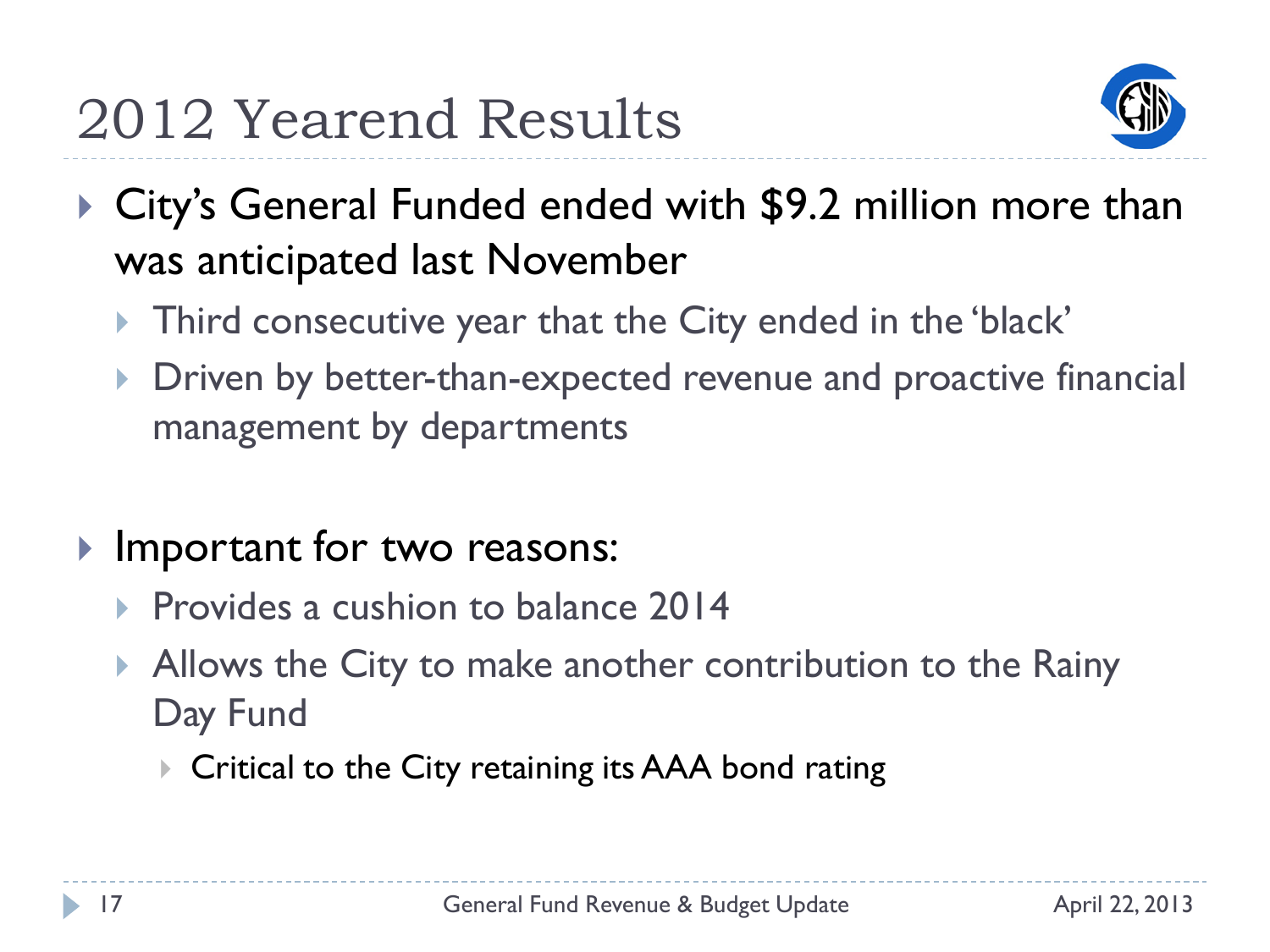

- ▶ City's General Funded ended with \$9.2 million more than was anticipated last November
	- ▶ Third consecutive year that the City ended in the 'black'
	- Driven by better-than-expected revenue and proactive financial management by departments
- **Important for two reasons:** 
	- **Provides a cushion to balance 2014**
	- Allows the City to make another contribution to the Rainy Day Fund
		- ▶ Critical to the City retaining its AAA bond rating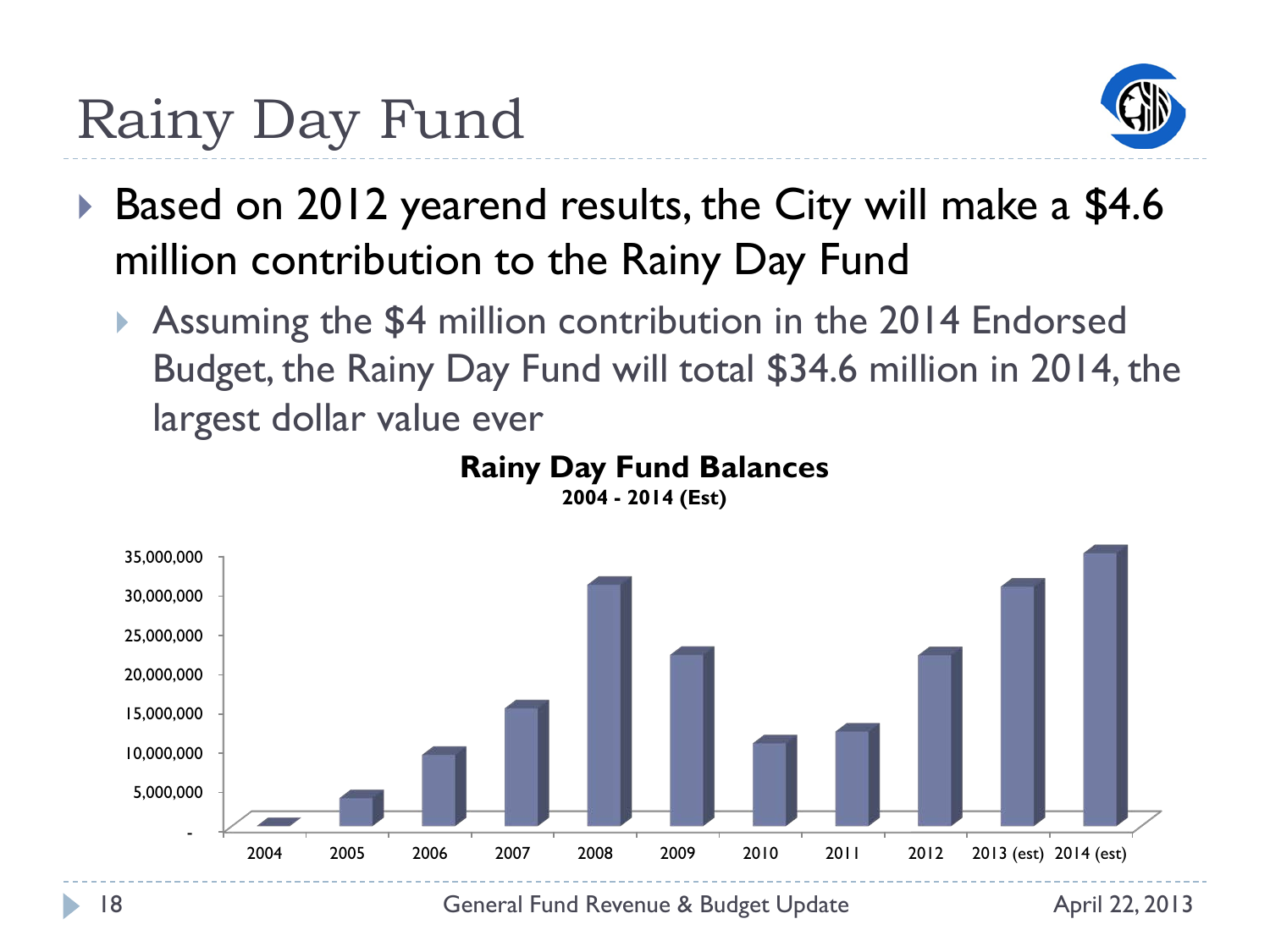#### Rainy Day Fund



- Based on 2012 yearend results, the City will make a \$4.6 million contribution to the Rainy Day Fund
	- Assuming the \$4 million contribution in the 2014 Endorsed Budget, the Rainy Day Fund will total \$34.6 million in 2014, the largest dollar value ever



#### **Rainy Day Fund Balances**

**2004 - 2014 (Est)**

18 **18** General Fund Revenue & Budget Update April 22, 2013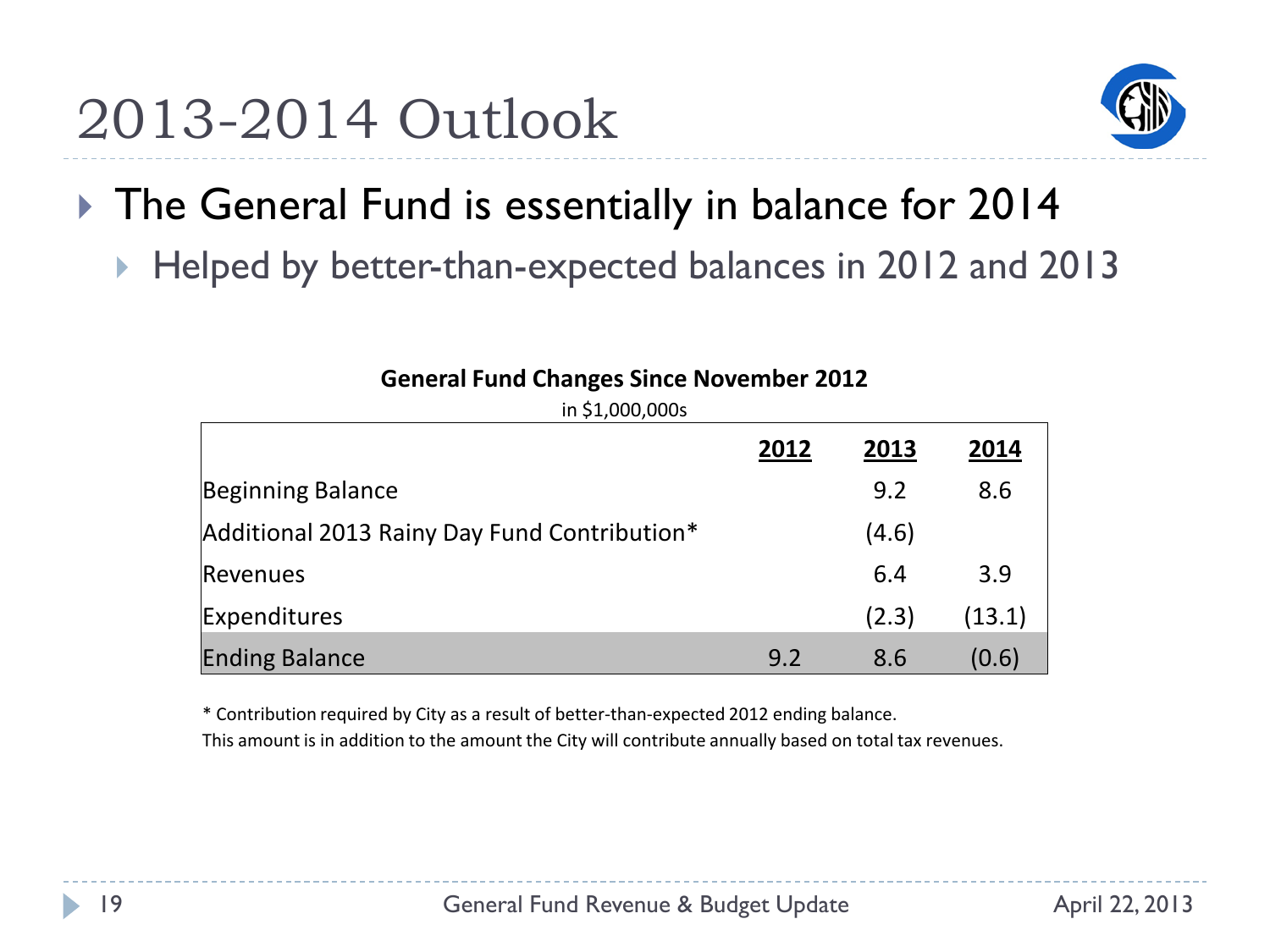

- ▶ The General Fund is essentially in balance for 2014
	- Helped by better-than-expected balances in 2012 and 2013

| $111 + 11000,0003$                           | 2012 | 2013  | 2014   |
|----------------------------------------------|------|-------|--------|
| Beginning Balance                            |      | 9.2   | 8.6    |
| Additional 2013 Rainy Day Fund Contribution* |      | (4.6) |        |
| Revenues                                     |      | 6.4   | 3.9    |
| Expenditures                                 |      | (2.3) | (13.1) |
| <b>Ending Balance</b>                        | 9.2  | 8.6   | (0.6)  |

#### **General Fund Changes Since November 2012**  $in$   $51,000,000$ s

\* Contribution required by City as a result of better-than-expected 2012 ending balance.

This amount is in addition to the amount the City will contribute annually based on total tax revenues.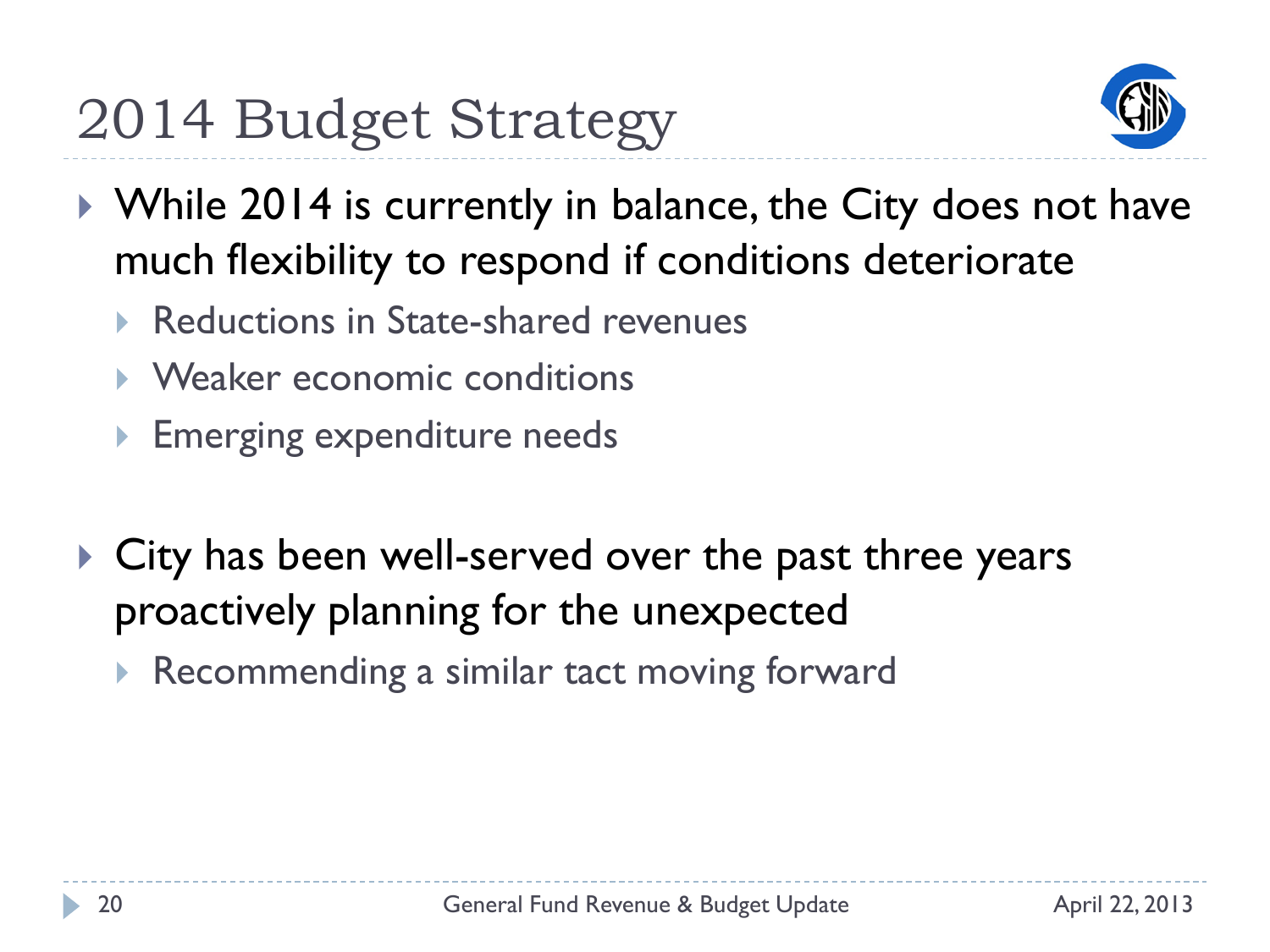

- ▶ While 2014 is currently in balance, the City does not have much flexibility to respond if conditions deteriorate
	- Reductions in State-shared revenues
	- Weaker economic conditions
	- **Emerging expenditure needs**
- ▶ City has been well-served over the past three years proactively planning for the unexpected
	- Recommending a similar tact moving forward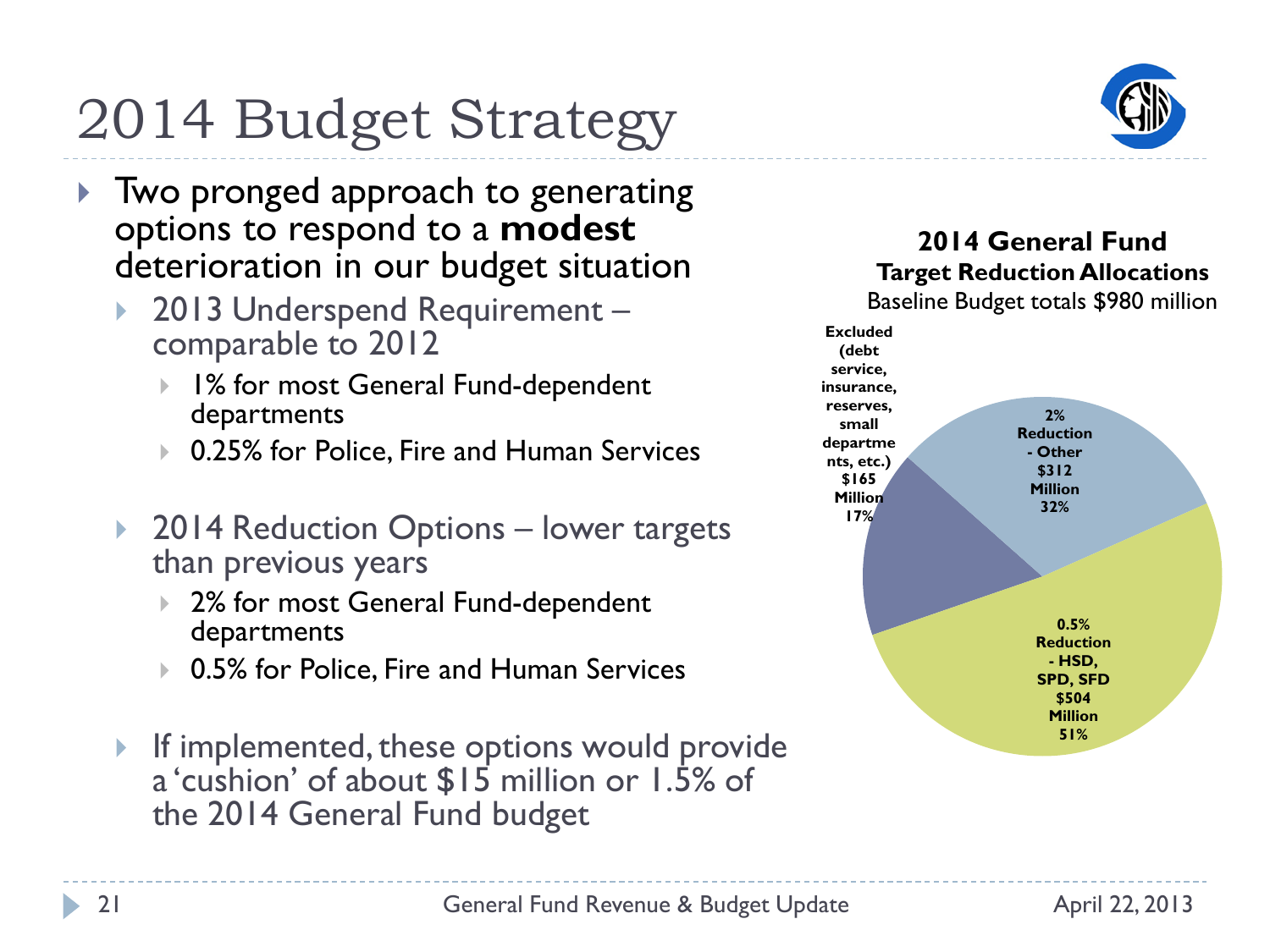## 2014 Budget Strategy

- ▶ Two pronged approach to generating options to respond to a **modest** deterioration in our budget situation
	- 2013 Underspend Requirement comparable to 2012
		- ▶ 1% for most General Fund-dependent departments
		- 0.25% for Police, Fire and Human Services
	- ▶ 2014 Reduction Options lower targets than previous years
		- ▶ 2% for most General Fund-dependent departments
		- 0.5% for Police, Fire and Human Services
	- If implemented, these options would provide a 'cushion' of about \$15 million or 1.5% of the 2014 General Fund budget



#### **2014 General Fund Target Reduction Allocations**

Baseline Budget totals \$980 million

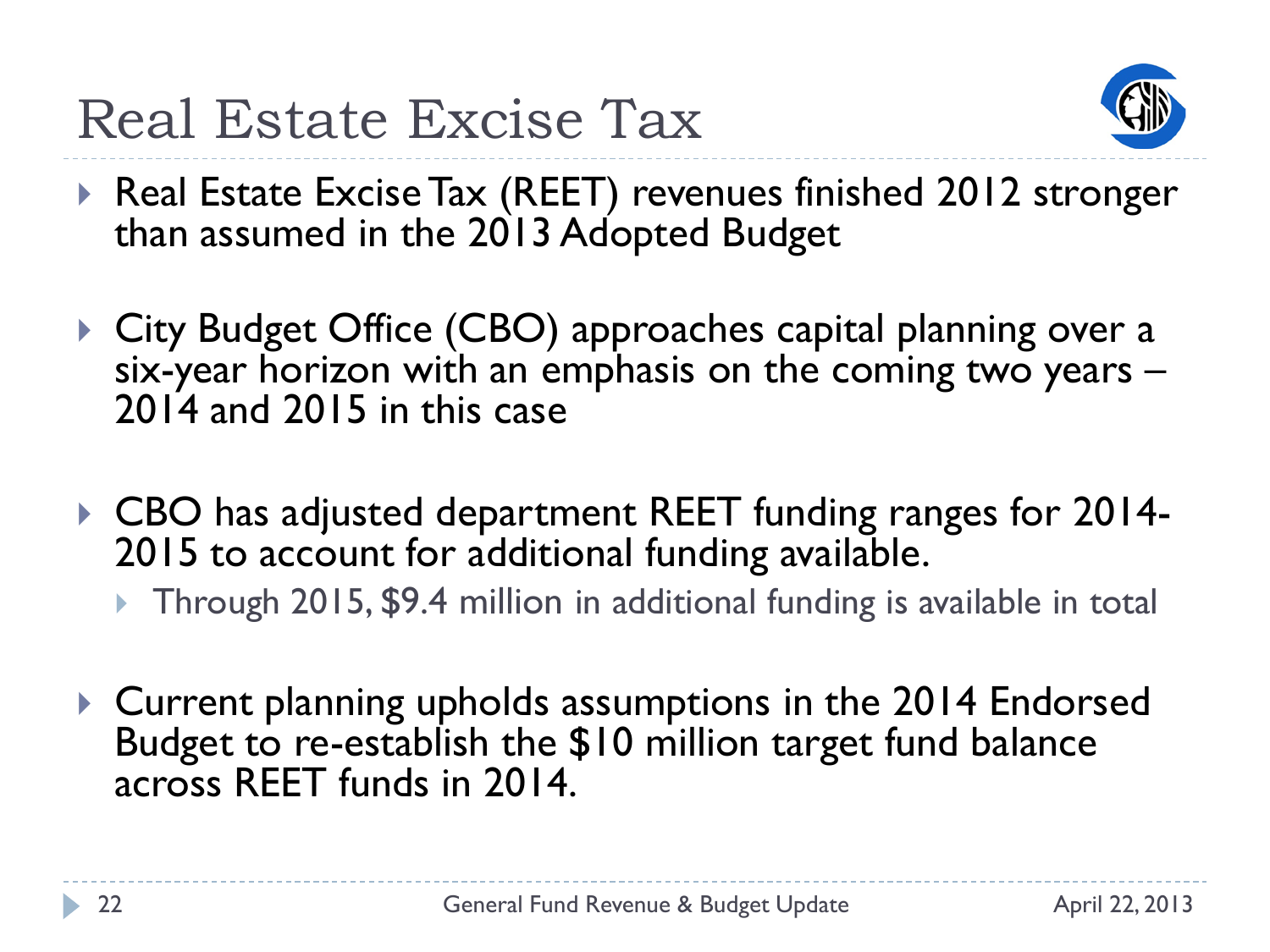

- ▶ Real Estate Excise Tax (REET) revenues finished 2012 stronger than assumed in the 2013 Adopted Budget
- ▶ City Budget Office (CBO) approaches capital planning over a six-year horizon with an emphasis on the coming two years – 2014 and 2015 in this case
- CBO has adjusted department REET funding ranges for 2014- 2015 to account for additional funding available.
	- ▶ Through 2015, \$9.4 million in additional funding is available in total
- ▶ Current planning upholds assumptions in the 2014 Endorsed Budget to re-establish the \$10 million target fund balance across REET funds in 2014.